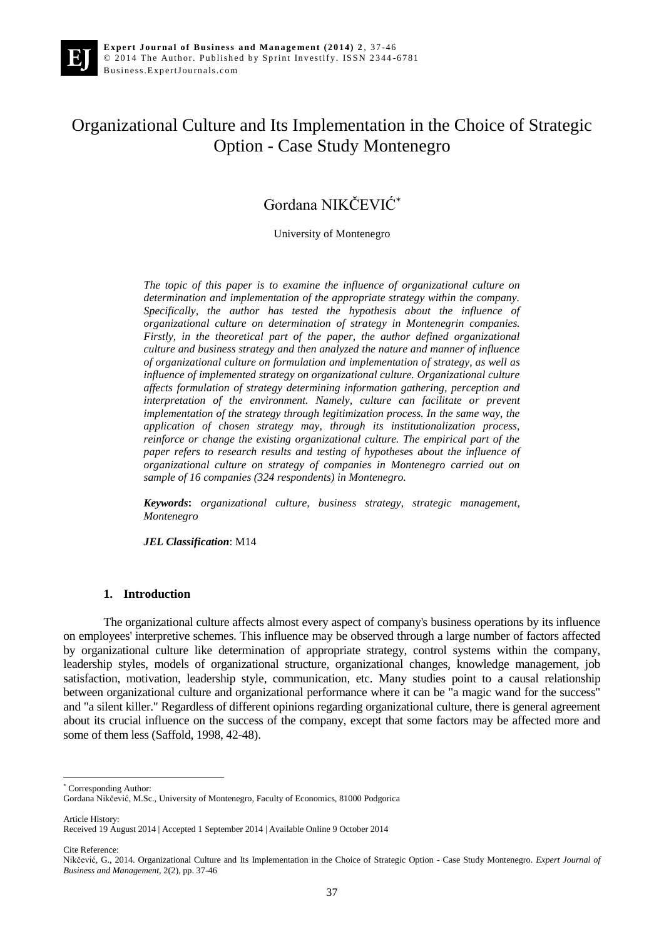# Organizational Culture and Its Implementation in the Choice of Strategic Option - Case Study Montenegro

## Gordana NIKČEVIĆ\*

University of Montenegro

*The topic of this paper is to examine the influence of organizational culture on determination and implementation of the appropriate strategy within the company. Specifically, the author has tested the hypothesis about the influence of organizational culture on determination of strategy in Montenegrin companies. Firstly, in the theoretical part of the paper, the author defined organizational culture and business strategy and then analyzed the nature and manner of influence of organizational culture on formulation and implementation of strategy, as well as influence of implemented strategy on organizational culture. Organizational culture affects formulation of strategy determining information gathering, perception and interpretation of the environment. Namely, culture can facilitate or prevent implementation of the strategy through legitimization process. In the same way, the application of chosen strategy may, through its institutionalization process, reinforce or change the existing organizational culture. The empirical part of the paper refers to research results and testing of hypotheses about the influence of organizational culture on strategy of companies in Montenegro carried out on sample of 16 companies (324 respondents) in Montenegro.*

*Keywords***:** *organizational culture, business strategy, strategic management, Montenegro*

*JEL Classification*: M14

## **1. Introduction**

The organizational culture affects almost every aspect of company's business operations by its influence on employees' interpretive schemes. This influence may be observed through a large number of factors affected by organizational culture like determination of appropriate strategy, control systems within the company, leadership styles, models of organizational structure, organizational changes, knowledge management, job satisfaction, motivation, leadership style, communication, etc. Many studies point to a causal relationship between organizational culture and organizational performance where it can be "a magic wand for the success" and "a silent killer." Regardless of different opinions regarding organizational culture, there is general agreement about its crucial influence on the success of the company, except that some factors may be affected more and some of them less (Saffold, 1998, 42-48).

\* Corresponding Author:

Gordana Nikčević, M.Sc., University of Montenegro, Faculty of Economics, 81000 Podgorica

Article History:

 $\overline{a}$ 

Cite Reference:

Received 19 August 2014 | Accepted 1 September 2014 | Available Online 9 October 2014

Nikčević, G., 2014. Organizational Culture and Its Implementation in the Choice of Strategic Option - Case Study Montenegro. *Expert Journal of Business and Management*, 2(2), pp. 37-46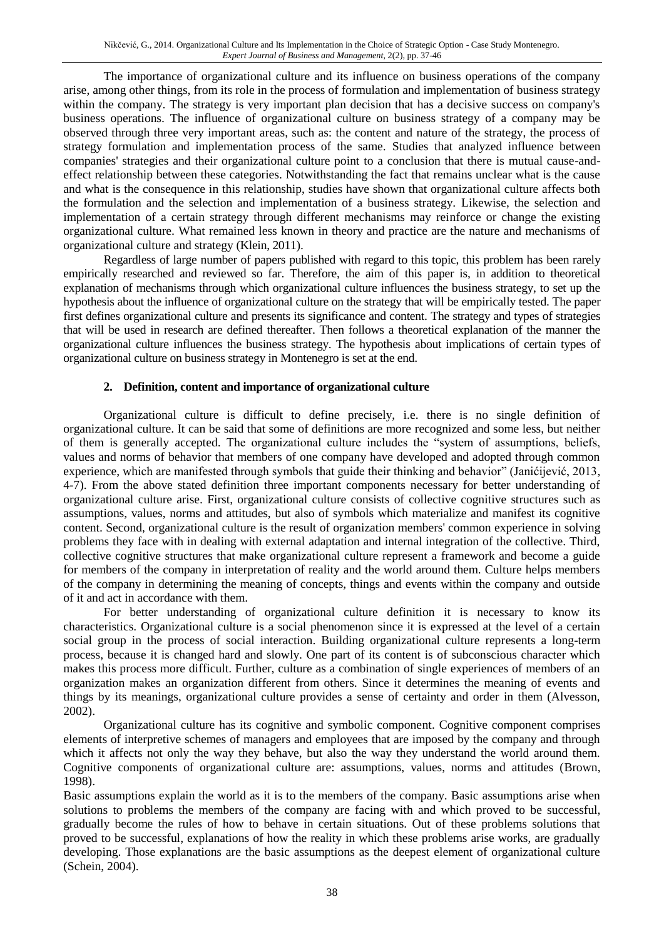The importance of organizational culture and its influence on business operations of the company arise, among other things, from its role in the process of formulation and implementation of business strategy within the company. The strategy is very important plan decision that has a decisive success on company's business operations. The influence of organizational culture on business strategy of a company may be observed through three very important areas, such as: the content and nature of the strategy, the process of strategy formulation and implementation process of the same. Studies that analyzed influence between companies' strategies and their organizational culture point to a conclusion that there is mutual cause-andeffect relationship between these categories. Notwithstanding the fact that remains unclear what is the cause and what is the consequence in this relationship, studies have shown that organizational culture affects both the formulation and the selection and implementation of a business strategy. Likewise, the selection and implementation of a certain strategy through different mechanisms may reinforce or change the existing organizational culture. What remained less known in theory and practice are the nature and mechanisms of organizational culture and strategy (Klein, 2011).

Regardless of large number of papers published with regard to this topic, this problem has been rarely empirically researched and reviewed so far. Therefore, the aim of this paper is, in addition to theoretical explanation of mechanisms through which organizational culture influences the business strategy, to set up the hypothesis about the influence of organizational culture on the strategy that will be empirically tested. The paper first defines organizational culture and presents its significance and content. The strategy and types of strategies that will be used in research are defined thereafter. Then follows a theoretical explanation of the manner the organizational culture influences the business strategy. The hypothesis about implications of certain types of organizational culture on business strategy in Montenegro is set at the end.

## **2. Definition, content and importance of organizational culture**

Organizational culture is difficult to define precisely, i.e. there is no single definition of organizational culture. It can be said that some of definitions are more recognized and some less, but neither of them is generally accepted. The organizational culture includes the "system of assumptions, beliefs, values and norms of behavior that members of one company have developed and adopted through common experience, which are manifested through symbols that guide their thinking and behavior" (Janićijević, 2013, 4-7). From the above stated definition three important components necessary for better understanding of organizational culture arise. First, organizational culture consists of collective cognitive structures such as assumptions, values, norms and attitudes, but also of symbols which materialize and manifest its cognitive content. Second, organizational culture is the result of organization members' common experience in solving problems they face with in dealing with external adaptation and internal integration of the collective. Third, collective cognitive structures that make organizational culture represent a framework and become a guide for members of the company in interpretation of reality and the world around them. Culture helps members of the company in determining the meaning of concepts, things and events within the company and outside of it and act in accordance with them.

For better understanding of organizational culture definition it is necessary to know its characteristics. Organizational culture is a social phenomenon since it is expressed at the level of a certain social group in the process of social interaction. Building organizational culture represents a long-term process, because it is changed hard and slowly. One part of its content is of subconscious character which makes this process more difficult. Further, culture as a combination of single experiences of members of an organization makes an organization different from others. Since it determines the meaning of events and things by its meanings, organizational culture provides a sense of certainty and order in them (Alvesson, 2002).

Organizational culture has its cognitive and symbolic component. Cognitive component comprises elements of interpretive schemes of managers and employees that are imposed by the company and through which it affects not only the way they behave, but also the way they understand the world around them. Cognitive components of organizational culture are: assumptions, values, norms and attitudes (Brown, 1998).

Basic assumptions explain the world as it is to the members of the company. Basic assumptions arise when solutions to problems the members of the company are facing with and which proved to be successful, gradually become the rules of how to behave in certain situations. Out of these problems solutions that proved to be successful, explanations of how the reality in which these problems arise works, are gradually developing. Those explanations are the basic assumptions as the deepest element of organizational culture (Schein, 2004).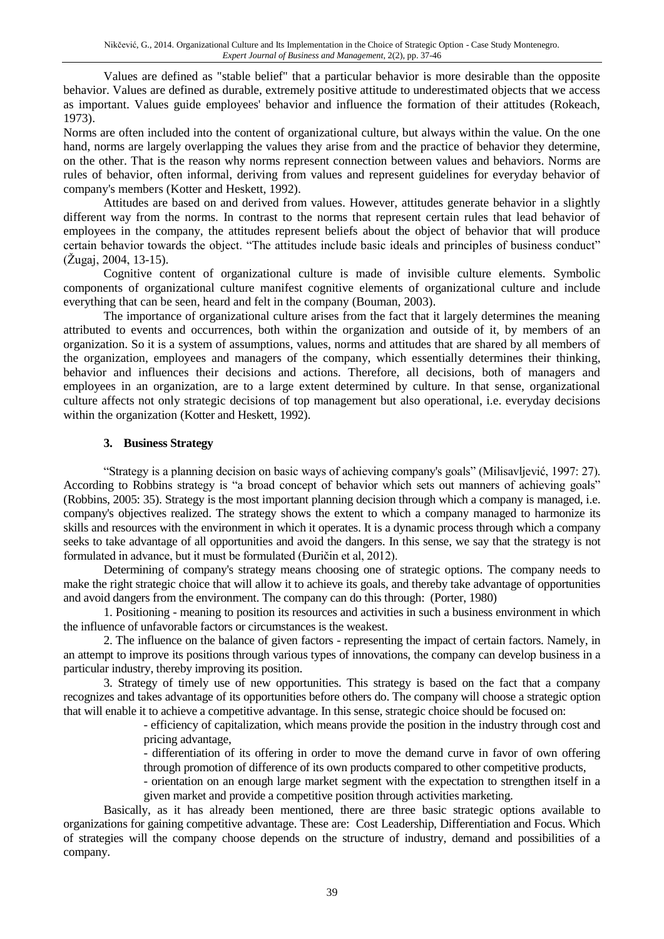Values are defined as "stable belief" that a particular behavior is more desirable than the opposite behavior. Values are defined as durable, extremely positive attitude to underestimated objects that we access as important. Values guide employees' behavior and influence the formation of their attitudes (Rokeach, 1973).

Norms are often included into the content of organizational culture, but always within the value. On the one hand, norms are largely overlapping the values they arise from and the practice of behavior they determine, on the other. That is the reason why norms represent connection between values and behaviors. Norms are rules of behavior, often informal, deriving from values and represent guidelines for everyday behavior of company's members (Kotter and Heskett, 1992).

Attitudes are based on and derived from values. However, attitudes generate behavior in a slightly different way from the norms. In contrast to the norms that represent certain rules that lead behavior of employees in the company, the attitudes represent beliefs about the object of behavior that will produce certain behavior towards the object. "The attitudes include basic ideals and principles of business conduct" (Žugaj, 2004, 13-15).

Cognitive content of organizational culture is made of invisible culture elements. Symbolic components of organizational culture manifest cognitive elements of organizational culture and include everything that can be seen, heard and felt in the company (Bouman, 2003).

The importance of organizational culture arises from the fact that it largely determines the meaning attributed to events and occurrences, both within the organization and outside of it, by members of an organization. So it is a system of assumptions, values, norms and attitudes that are shared by all members of the organization, employees and managers of the company, which essentially determines their thinking, behavior and influences their decisions and actions. Therefore, all decisions, both of managers and employees in an organization, are to a large extent determined by culture. In that sense, organizational culture affects not only strategic decisions of top management but also operational, i.e. everyday decisions within the organization (Kotter and Heskett, 1992).

## **3. Business Strategy**

"Strategy is a planning decision on basic ways of achieving company's goals" (Milisavljević, 1997: 27). According to Robbins strategy is "a broad concept of behavior which sets out manners of achieving goals" (Robbins, 2005: 35). Strategy is the most important planning decision through which a company is managed, i.e. company's objectives realized. The strategy shows the extent to which a company managed to harmonize its skills and resources with the environment in which it operates. It is a dynamic process through which a company seeks to take advantage of all opportunities and avoid the dangers. In this sense, we say that the strategy is not formulated in advance, but it must be formulated (Đuričin et al, 2012).

Determining of company's strategy means choosing one of strategic options. The company needs to make the right strategic choice that will allow it to achieve its goals, and thereby take advantage of opportunities and avoid dangers from the environment. The company can do this through: (Porter, 1980)

1. Positioning - meaning to position its resources and activities in such a business environment in which the influence of unfavorable factors or circumstances is the weakest.

2. The influence on the balance of given factors - representing the impact of certain factors. Namely, in an attempt to improve its positions through various types of innovations, the company can develop business in a particular industry, thereby improving its position.

3. Strategy of timely use of new opportunities. This strategy is based on the fact that a company recognizes and takes advantage of its opportunities before others do. The company will choose a strategic option that will enable it to achieve a competitive advantage. In this sense, strategic choice should be focused on:

- efficiency of capitalization, which means provide the position in the industry through cost and pricing advantage,

- differentiation of its offering in order to move the demand curve in favor of own offering through promotion of difference of its own products compared to other competitive products,

- orientation on an enough large market segment with the expectation to strengthen itself in a given market and provide a competitive position through activities marketing.

Basically, as it has already been mentioned, there are three basic strategic options available to organizations for gaining competitive advantage. These are: Cost Leadership, Differentiation and Focus. Which of strategies will the company choose depends on the structure of industry, demand and possibilities of a company.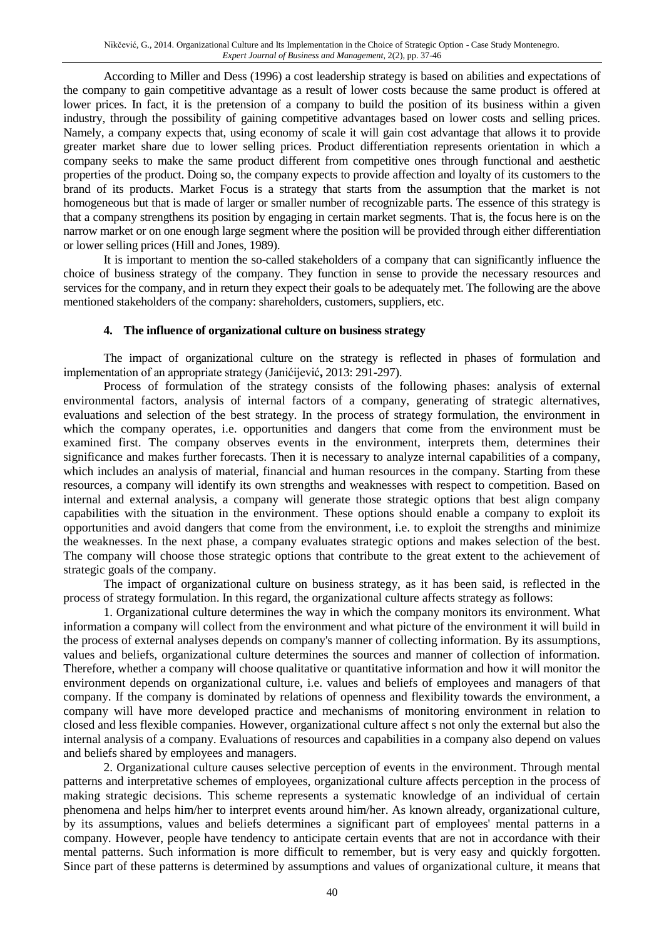According to Miller and Dess (1996) a cost leadership strategy is based on abilities and expectations of the company to gain competitive advantage as a result of lower costs because the same product is offered at lower prices. In fact, it is the pretension of a company to build the position of its business within a given industry, through the possibility of gaining competitive advantages based on lower costs and selling prices. Namely, a company expects that, using economy of scale it will gain cost advantage that allows it to provide greater market share due to lower selling prices. Product differentiation represents orientation in which a company seeks to make the same product different from competitive ones through functional and aesthetic properties of the product. Doing so, the company expects to provide affection and loyalty of its customers to the brand of its products. Market Focus is a strategy that starts from the assumption that the market is not homogeneous but that is made of larger or smaller number of recognizable parts. The essence of this strategy is that a company strengthens its position by engaging in certain market segments. That is, the focus here is on the narrow market or on one enough large segment where the position will be provided through either differentiation or lower selling prices (Hill and Jones, 1989).

It is important to mention the so-called stakeholders of a company that can significantly influence the choice of business strategy of the company. They function in sense to provide the necessary resources and services for the company, and in return they expect their goals to be adequately met. The following are the above mentioned stakeholders of the company: shareholders, customers, suppliers, etc.

## **4. The influence of organizational culture on business strategy**

The impact of organizational culture on the strategy is reflected in phases of formulation and implementation of an appropriate strategy (Janićijević**,** 2013: 291-297).

Process of formulation of the strategy consists of the following phases: analysis of external environmental factors, analysis of internal factors of a company, generating of strategic alternatives, evaluations and selection of the best strategy. In the process of strategy formulation, the environment in which the company operates, i.e. opportunities and dangers that come from the environment must be examined first. The company observes events in the environment, interprets them, determines their significance and makes further forecasts. Then it is necessary to analyze internal capabilities of a company, which includes an analysis of material, financial and human resources in the company. Starting from these resources, a company will identify its own strengths and weaknesses with respect to competition. Based on internal and external analysis, a company will generate those strategic options that best align company capabilities with the situation in the environment. These options should enable a company to exploit its opportunities and avoid dangers that come from the environment, i.e. to exploit the strengths and minimize the weaknesses. In the next phase, a company evaluates strategic options and makes selection of the best. The company will choose those strategic options that contribute to the great extent to the achievement of strategic goals of the company.

The impact of organizational culture on business strategy, as it has been said, is reflected in the process of strategy formulation. In this regard, the organizational culture affects strategy as follows:

1. Organizational culture determines the way in which the company monitors its environment. What information a company will collect from the environment and what picture of the environment it will build in the process of external analyses depends on company's manner of collecting information. By its assumptions, values and beliefs, organizational culture determines the sources and manner of collection of information. Therefore, whether a company will choose qualitative or quantitative information and how it will monitor the environment depends on organizational culture, i.e. values and beliefs of employees and managers of that company. If the company is dominated by relations of openness and flexibility towards the environment, a company will have more developed practice and mechanisms of monitoring environment in relation to closed and less flexible companies. However, organizational culture affect s not only the external but also the internal analysis of a company. Evaluations of resources and capabilities in a company also depend on values and beliefs shared by employees and managers.

2. Organizational culture causes selective perception of events in the environment. Through mental patterns and interpretative schemes of employees, organizational culture affects perception in the process of making strategic decisions. This scheme represents a systematic knowledge of an individual of certain phenomena and helps him/her to interpret events around him/her. As known already, organizational culture, by its assumptions, values and beliefs determines a significant part of employees' mental patterns in a company. However, people have tendency to anticipate certain events that are not in accordance with their mental patterns. Such information is more difficult to remember, but is very easy and quickly forgotten. Since part of these patterns is determined by assumptions and values of organizational culture, it means that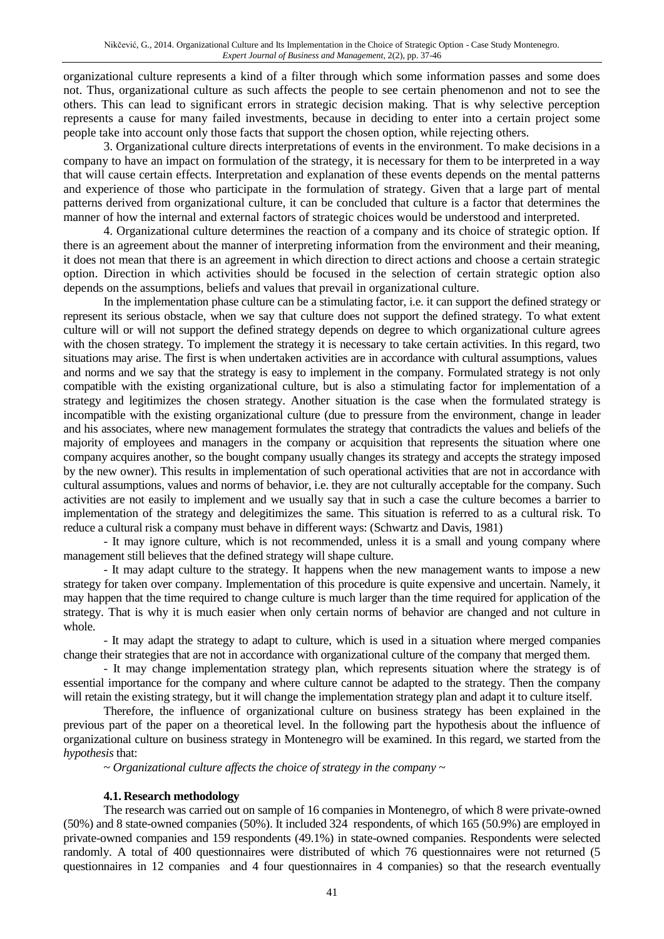organizational culture represents a kind of a filter through which some information passes and some does not. Thus, organizational culture as such affects the people to see certain phenomenon and not to see the others. This can lead to significant errors in strategic decision making. That is why selective perception represents a cause for many failed investments, because in deciding to enter into a certain project some people take into account only those facts that support the chosen option, while rejecting others.

3. Organizational culture directs interpretations of events in the environment. To make decisions in a company to have an impact on formulation of the strategy, it is necessary for them to be interpreted in a way that will cause certain effects. Interpretation and explanation of these events depends on the mental patterns and experience of those who participate in the formulation of strategy. Given that a large part of mental patterns derived from organizational culture, it can be concluded that culture is a factor that determines the manner of how the internal and external factors of strategic choices would be understood and interpreted.

4. Organizational culture determines the reaction of a company and its choice of strategic option. If there is an agreement about the manner of interpreting information from the environment and their meaning, it does not mean that there is an agreement in which direction to direct actions and choose a certain strategic option. Direction in which activities should be focused in the selection of certain strategic option also depends on the assumptions, beliefs and values that prevail in organizational culture.

In the implementation phase culture can be a stimulating factor, i.e. it can support the defined strategy or represent its serious obstacle, when we say that culture does not support the defined strategy. To what extent culture will or will not support the defined strategy depends on degree to which organizational culture agrees with the chosen strategy. To implement the strategy it is necessary to take certain activities. In this regard, two situations may arise. The first is when undertaken activities are in accordance with cultural assumptions, values and norms and we say that the strategy is easy to implement in the company. Formulated strategy is not only compatible with the existing organizational culture, but is also a stimulating factor for implementation of a strategy and legitimizes the chosen strategy. Another situation is the case when the formulated strategy is incompatible with the existing organizational culture (due to pressure from the environment, change in leader and his associates, where new management formulates the strategy that contradicts the values and beliefs of the majority of employees and managers in the company or acquisition that represents the situation where one company acquires another, so the bought company usually changes its strategy and accepts the strategy imposed by the new owner). This results in implementation of such operational activities that are not in accordance with cultural assumptions, values and norms of behavior, i.e. they are not culturally acceptable for the company. Such activities are not easily to implement and we usually say that in such a case the culture becomes a barrier to implementation of the strategy and delegitimizes the same. This situation is referred to as a cultural risk. To reduce a cultural risk a company must behave in different ways: (Schwartz and Davis, 1981)

- It may ignore culture, which is not recommended, unless it is a small and young company where management still believes that the defined strategy will shape culture.

- It may adapt culture to the strategy. It happens when the new management wants to impose a new strategy for taken over company. Implementation of this procedure is quite expensive and uncertain. Namely, it may happen that the time required to change culture is much larger than the time required for application of the strategy. That is why it is much easier when only certain norms of behavior are changed and not culture in whole.

- It may adapt the strategy to adapt to culture, which is used in a situation where merged companies change their strategies that are not in accordance with organizational culture of the company that merged them.

- It may change implementation strategy plan, which represents situation where the strategy is of essential importance for the company and where culture cannot be adapted to the strategy. Then the company will retain the existing strategy, but it will change the implementation strategy plan and adapt it to culture itself.

Therefore, the influence of organizational culture on business strategy has been explained in the previous part of the paper on a theoretical level. In the following part the hypothesis about the influence of organizational culture on business strategy in Montenegro will be examined. In this regard, we started from the *hypothesis* that:

~ *Organizational culture affects the choice of strategy in the company ~*

### **4.1. Research methodology**

The research was carried out on sample of 16 companies in Montenegro, of which 8 were private-owned (50%) and 8 state-owned companies (50%). It included 324 respondents, of which 165 (50.9%) are employed in private-owned companies and 159 respondents (49.1%) in state-owned companies. Respondents were selected randomly. A total of 400 questionnaires were distributed of which 76 questionnaires were not returned (5 questionnaires in 12 companies and 4 four questionnaires in 4 companies) so that the research eventually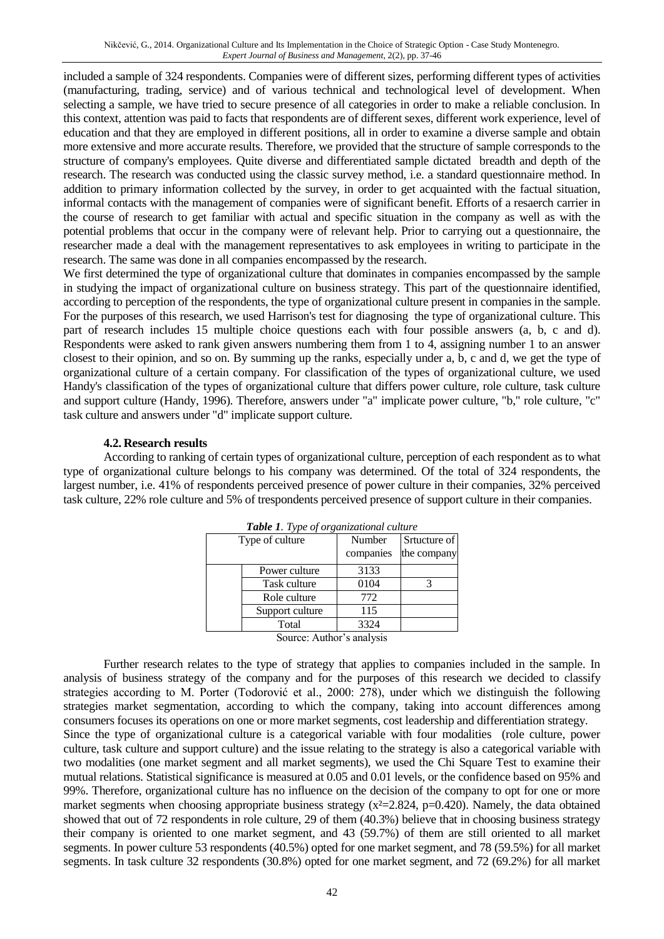included a sample of 324 respondents. Companies were of different sizes, performing different types of activities (manufacturing, trading, service) and of various technical and technological level of development. When selecting a sample, we have tried to secure presence of all categories in order to make a reliable conclusion. In this context, attention was paid to facts that respondents are of different sexes, different work experience, level of education and that they are employed in different positions, all in order to examine a diverse sample and obtain more extensive and more accurate results. Therefore, we provided that the structure of sample corresponds to the structure of company's employees. Quite diverse and differentiated sample dictated breadth and depth of the research. The research was conducted using the classic survey method, i.e. a standard questionnaire method. In addition to primary information collected by the survey, in order to get acquainted with the factual situation, informal contacts with the management of companies were of significant benefit. Efforts of a resaerch carrier in the course of research to get familiar with actual and specific situation in the company as well as with the potential problems that occur in the company were of relevant help. Prior to carrying out a questionnaire, the researcher made a deal with the management representatives to ask employees in writing to participate in the research. The same was done in all companies encompassed by the research.

We first determined the type of organizational culture that dominates in companies encompassed by the sample in studying the impact of organizational culture on business strategy. This part of the questionnaire identified, according to perception of the respondents, the type of organizational culture present in companies in the sample. For the purposes of this research, we used Harrison's test for diagnosing the type of organizational culture. This part of research includes 15 multiple choice questions each with four possible answers (a, b, c and d). Respondents were asked to rank given answers numbering them from 1 to 4, assigning number 1 to an answer closest to their opinion, and so on. By summing up the ranks, especially under a, b, c and d, we get the type of organizational culture of a certain company. For classification of the types of organizational culture, we used Handy's classification of the types of organizational culture that differs power culture, role culture, task culture and support culture (Handy, 1996). Therefore, answers under "a" implicate power culture, "b," role culture, "c" task culture and answers under "d" implicate support culture.

## **4.2. Research results**

According to ranking of certain types of organizational culture, perception of each respondent as to what type of organizational culture belongs to his company was determined. Of the total of 324 respondents, the largest number, i.e. 41% of respondents perceived presence of power culture in their companies, 32% perceived task culture, 22% role culture and 5% of trespondents perceived presence of support culture in their companies.

| <b>Table 1.</b> Type of organizational culture |                     |                             |  |  |  |  |  |  |
|------------------------------------------------|---------------------|-----------------------------|--|--|--|--|--|--|
| Type of culture                                | Number<br>companies | Srtucture of<br>the company |  |  |  |  |  |  |
| Power culture                                  | 3133                |                             |  |  |  |  |  |  |
| Task culture                                   | 0104                |                             |  |  |  |  |  |  |
| Role culture                                   | 772                 |                             |  |  |  |  |  |  |
| Support culture                                | 115                 |                             |  |  |  |  |  |  |
| Total                                          | 3324                |                             |  |  |  |  |  |  |
|                                                |                     |                             |  |  |  |  |  |  |

*Table 1. Type of organizational culture*

Source: Author's analysis

Further research relates to the type of strategy that applies to companies included in the sample. In analysis of business strategy of the company and for the purposes of this research we decided to classify strategies according to M. Porter (Todorović et al., 2000: 278), under which we distinguish the following strategies market segmentation, according to which the company, taking into account differences among consumers focuses its operations on one or more market segments, cost leadership and differentiation strategy. Since the type of organizational culture is a categorical variable with four modalities (role culture, power culture, task culture and support culture) and the issue relating to the strategy is also a categorical variable with two modalities (one market segment and all market segments), we used the Chi Square Test to examine their mutual relations. Statistical significance is measured at 0.05 and 0.01 levels, or the confidence based on 95% and 99%. Therefore, organizational culture has no influence on the decision of the company to opt for one or more market segments when choosing appropriate business strategy (x<sup>2</sup>=2.824, p=0.420). Namely, the data obtained showed that out of 72 respondents in role culture, 29 of them (40.3%) believe that in choosing business strategy their company is oriented to one market segment, and 43 (59.7%) of them are still oriented to all market segments. In power culture 53 respondents (40.5%) opted for one market segment, and 78 (59.5%) for all market segments. In task culture 32 respondents (30.8%) opted for one market segment, and 72 (69.2%) for all market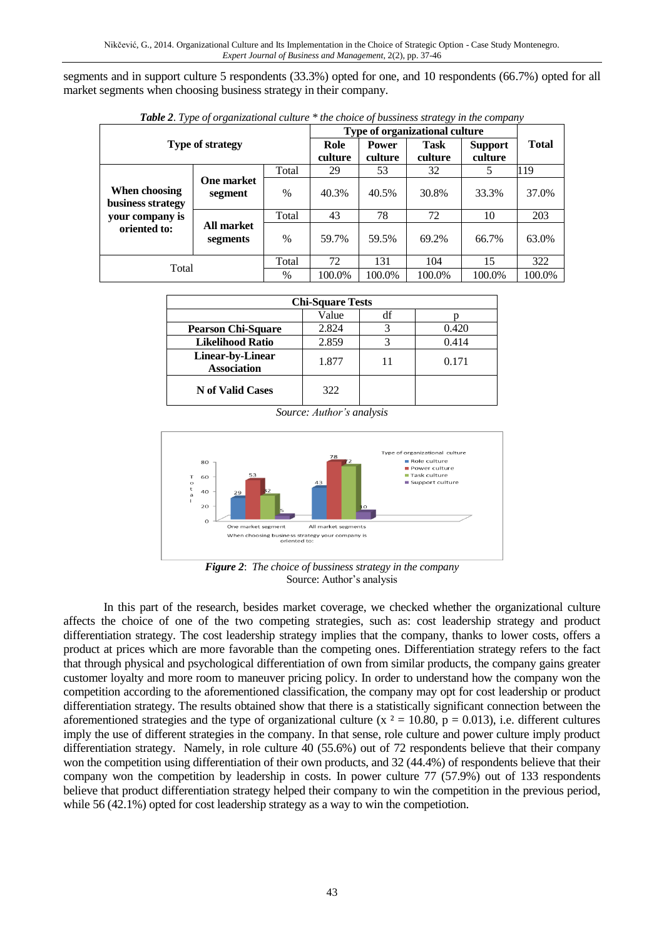segments and in support culture 5 respondents (33.3%) opted for one, and 10 respondents (66.7%) opted for all market segments when choosing business strategy in their company.

| $\overline{ }$                     | $\cdot$                |                                            | Type of organizational culture |                           |              |        |       |
|------------------------------------|------------------------|--------------------------------------------|--------------------------------|---------------------------|--------------|--------|-------|
| <b>Type of strategy</b>            | Role<br>culture        | Task<br><b>Power</b><br>culture<br>culture |                                | <b>Support</b><br>culture | <b>Total</b> |        |       |
| Total                              |                        |                                            | 29                             | 53                        | 32           | 5      | 119   |
|                                    | <b>One market</b>      |                                            |                                |                           |              |        |       |
| When choosing<br>business strategy | segment                | $\%$                                       | 40.3%                          | 40.5%                     | 30.8%        | 33.3%  | 37.0% |
| your company is                    |                        | Total                                      | 43                             | 78                        | 72           | 10     | 203   |
| oriented to:                       | All market<br>segments | $\frac{0}{0}$                              | 59.7%                          | 59.5%                     | 69.2%        | 66.7%  | 63.0% |
|                                    | Total                  | 72                                         | 131                            | 104                       | 15           | 322    |       |
| Total                              | $\%$                   | 100.0%                                     | 100.0%                         | 100.0%                    | 100.0%       | 100.0% |       |

*Table 2*. *Type of organizational culture \* the choice of bussiness strategy in the company*

| <b>Chi-Square Tests</b>                |       |  |       |  |  |  |  |  |
|----------------------------------------|-------|--|-------|--|--|--|--|--|
| Value<br>df                            |       |  |       |  |  |  |  |  |
| <b>Pearson Chi-Square</b>              | 2.824 |  | 0.420 |  |  |  |  |  |
| <b>Likelihood Ratio</b>                | 2.859 |  | 0.414 |  |  |  |  |  |
| Linear-by-Linear<br><b>Association</b> | 1.877 |  | 0.171 |  |  |  |  |  |
| <b>N</b> of Valid Cases                | 322   |  |       |  |  |  |  |  |

*Source: Author's analysis*



*Figure 2*: *The choice of bussiness strategy in the company* Source: Author's analysis

In this part of the research, besides market coverage, we checked whether the organizational culture affects the choice of one of the two competing strategies, such as: cost leadership strategy and product differentiation strategy. The cost leadership strategy implies that the company, thanks to lower costs, offers a product at prices which are more favorable than the competing ones. Differentiation strategy refers to the fact that through physical and psychological differentiation of own from similar products, the company gains greater customer loyalty and more room to maneuver pricing policy. In order to understand how the company won the competition according to the aforementioned classification, the company may opt for cost leadership or product differentiation strategy. The results obtained show that there is a statistically significant connection between the aforementioned strategies and the type of organizational culture (x  $\alpha$  = 10.80, p = 0.013), i.e. different cultures imply the use of different strategies in the company. In that sense, role culture and power culture imply product differentiation strategy. Namely, in role culture 40 (55.6%) out of 72 respondents believe that their company won the competition using differentiation of their own products, and 32 (44.4%) of respondents believe that their company won the competition by leadership in costs. In power culture 77 (57.9%) out of 133 respondents believe that product differentiation strategy helped their company to win the competition in the previous period, while 56 (42.1%) opted for cost leadership strategy as a way to win the competiotion.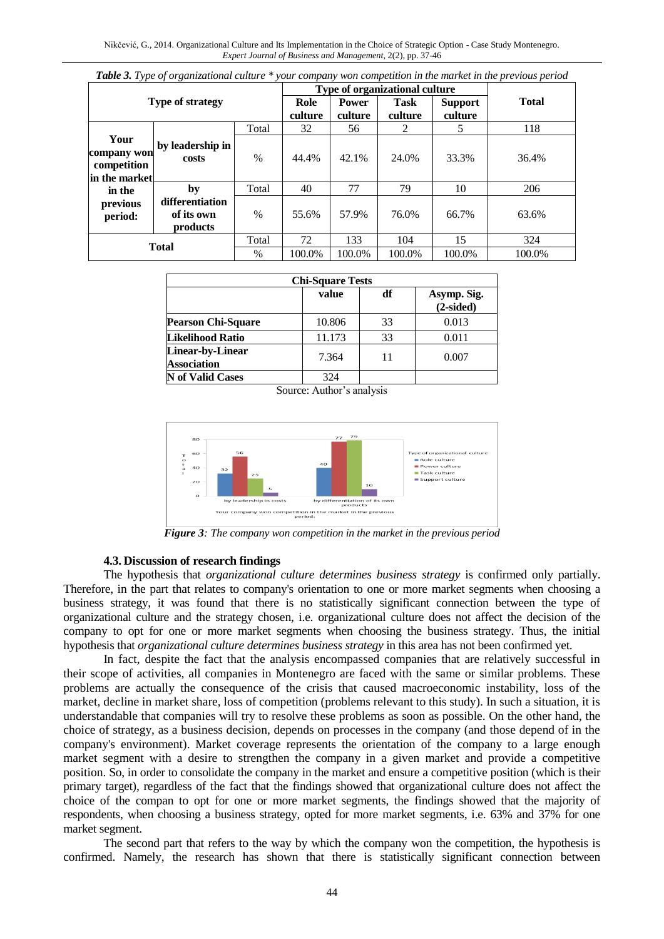| $\lambda$ r y $\lambda$ of $\lambda$                |                                           |               |         | Type of organizational culture |             |                |              |
|-----------------------------------------------------|-------------------------------------------|---------------|---------|--------------------------------|-------------|----------------|--------------|
| <b>Type of strategy</b>                             |                                           |               | Role    | <b>Power</b>                   | <b>Task</b> | <b>Support</b> | <b>Total</b> |
|                                                     |                                           |               | culture | culture                        | culture     | culture        |              |
|                                                     |                                           | Total         | 32      | 56                             | 2           | 5.             | 118          |
| Your<br>company won<br>competition<br>in the market | by leadership in<br>costs                 | $\frac{0}{0}$ | 44.4%   | 42.1%                          | 24.0%       | 33.3%          | 36.4%        |
| in the                                              | by                                        | Total         | 40      | 77                             | 79          | 10             | 206          |
| previous<br>period:                                 | differentiation<br>of its own<br>products | $\%$          | 55.6%   | 57.9%                          | 76.0%       | 66.7%          | 63.6%        |
| <b>Total</b><br>$\frac{0}{0}$                       |                                           | Total         | 72      | 133                            | 104         | 15             | 324          |
|                                                     |                                           |               | 100.0%  | 100.0%                         | 100.0%      | 100.0%         | 100.0%       |

|  |  | Table 3. Type of organizational culture * your company won competition in the market in the previous period |  |  |  |  |  |  |  |  |  |  |
|--|--|-------------------------------------------------------------------------------------------------------------|--|--|--|--|--|--|--|--|--|--|
|--|--|-------------------------------------------------------------------------------------------------------------|--|--|--|--|--|--|--|--|--|--|

| <b>Chi-Square Tests</b>                       |        |    |                            |  |  |  |  |  |  |
|-----------------------------------------------|--------|----|----------------------------|--|--|--|--|--|--|
|                                               | value  | df | Asymp. Sig.<br>$(2-sided)$ |  |  |  |  |  |  |
| <b>Pearson Chi-Square</b>                     | 10.806 | 33 | 0.013                      |  |  |  |  |  |  |
| <b>Likelihood Ratio</b>                       | 11.173 | 33 | 0.011                      |  |  |  |  |  |  |
| <b>Linear-by-Linear</b><br><b>Association</b> | 7.364  | 11 | 0.007                      |  |  |  |  |  |  |
| <b>N</b> of Valid Cases                       | 324    |    |                            |  |  |  |  |  |  |

Source: Author's analysis



*Figure 3: The company won competition in the market in the previous period*

#### **4.3. Discussion of research findings**

The hypothesis that *organizational culture determines business strategy* is confirmed only partially. Therefore, in the part that relates to company's orientation to one or more market segments when choosing a business strategy, it was found that there is no statistically significant connection between the type of organizational culture and the strategy chosen, i.e. organizational culture does not affect the decision of the company to opt for one or more market segments when choosing the business strategy. Thus, the initial hypothesis that *organizational culture determines business strategy* in this area has not been confirmed yet.

In fact, despite the fact that the analysis encompassed companies that are relatively successful in their scope of activities, all companies in Montenegro are faced with the same or similar problems. These problems are actually the consequence of the crisis that caused macroeconomic instability, loss of the market, decline in market share, loss of competition (problems relevant to this study). In such a situation, it is understandable that companies will try to resolve these problems as soon as possible. On the other hand, the choice of strategy, as a business decision, depends on processes in the company (and those depend of in the company's environment). Market coverage represents the orientation of the company to a large enough market segment with a desire to strengthen the company in a given market and provide a competitive position. So, in order to consolidate the company in the market and ensure a competitive position (which is their primary target), regardless of the fact that the findings showed that organizational culture does not affect the choice of the compan to opt for one or more market segments, the findings showed that the majority of respondents, when choosing a business strategy, opted for more market segments, i.e. 63% and 37% for one market segment.

The second part that refers to the way by which the company won the competition, the hypothesis is confirmed. Namely, the research has shown that there is statistically significant connection between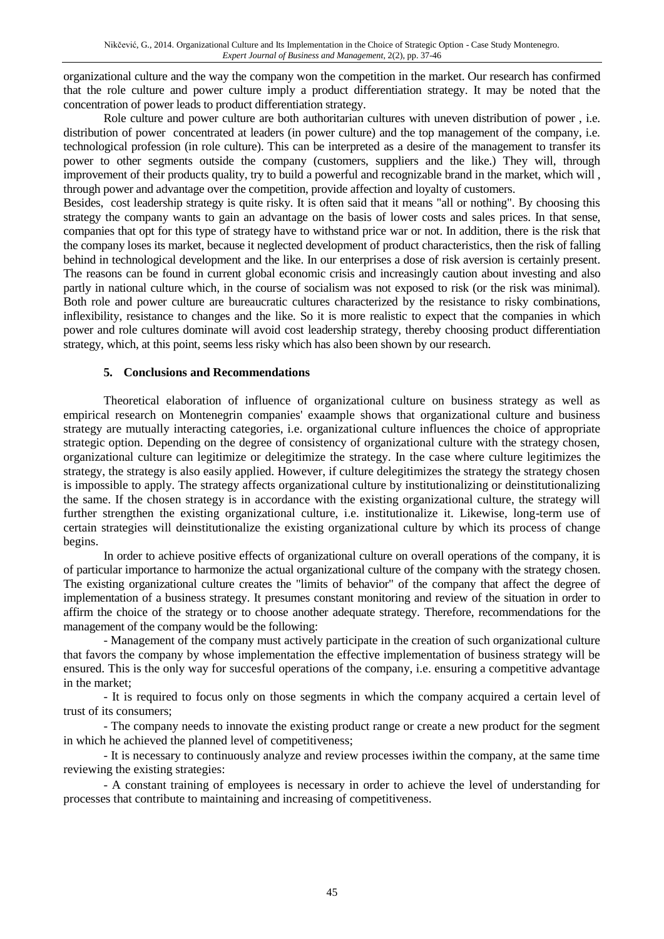organizational culture and the way the company won the competition in the market. Our research has confirmed that the role culture and power culture imply a product differentiation strategy. It may be noted that the concentration of power leads to product differentiation strategy.

Role culture and power culture are both authoritarian cultures with uneven distribution of power , i.e. distribution of power concentrated at leaders (in power culture) and the top management of the company, i.e. technological profession (in role culture). This can be interpreted as a desire of the management to transfer its power to other segments outside the company (customers, suppliers and the like.) They will, through improvement of their products quality, try to build a powerful and recognizable brand in the market, which will , through power and advantage over the competition, provide affection and loyalty of customers.

Besides, cost leadership strategy is quite risky. It is often said that it means "all or nothing". By choosing this strategy the company wants to gain an advantage on the basis of lower costs and sales prices. In that sense, companies that opt for this type of strategy have to withstand price war or not. In addition, there is the risk that the company loses its market, because it neglected development of product characteristics, then the risk of falling behind in technological development and the like. In our enterprises a dose of risk aversion is certainly present. The reasons can be found in current global economic crisis and increasingly caution about investing and also partly in national culture which, in the course of socialism was not exposed to risk (or the risk was minimal). Both role and power culture are bureaucratic cultures characterized by the resistance to risky combinations, inflexibility, resistance to changes and the like. So it is more realistic to expect that the companies in which power and role cultures dominate will avoid cost leadership strategy, thereby choosing product differentiation strategy, which, at this point, seems less risky which has also been shown by our research.

## **5. Conclusions and Recommendations**

Theoretical elaboration of influence of organizational culture on business strategy as well as empirical research on Montenegrin companies' exaample shows that organizational culture and business strategy are mutually interacting categories, i.e. organizational culture influences the choice of appropriate strategic option. Depending on the degree of consistency of organizational culture with the strategy chosen, organizational culture can legitimize or delegitimize the strategy. In the case where culture legitimizes the strategy, the strategy is also easily applied. However, if culture delegitimizes the strategy the strategy chosen is impossible to apply. The strategy affects organizational culture by institutionalizing or deinstitutionalizing the same. If the chosen strategy is in accordance with the existing organizational culture, the strategy will further strengthen the existing organizational culture, i.e. institutionalize it. Likewise, long-term use of certain strategies will deinstitutionalize the existing organizational culture by which its process of change begins.

In order to achieve positive effects of organizational culture on overall operations of the company, it is of particular importance to harmonize the actual organizational culture of the company with the strategy chosen. The existing organizational culture creates the "limits of behavior" of the company that affect the degree of implementation of a business strategy. It presumes constant monitoring and review of the situation in order to affirm the choice of the strategy or to choose another adequate strategy. Therefore, recommendations for the management of the company would be the following:

- Management of the company must actively participate in the creation of such organizational culture that favors the company by whose implementation the effective implementation of business strategy will be ensured. This is the only way for succesful operations of the company, i.e. ensuring a competitive advantage in the market;

- It is required to focus only on those segments in which the company acquired a certain level of trust of its consumers;

- The company needs to innovate the existing product range or create a new product for the segment in which he achieved the planned level of competitiveness;

- It is necessary to continuously analyze and review processes iwithin the company, at the same time reviewing the existing strategies:

- A constant training of employees is necessary in order to achieve the level of understanding for processes that contribute to maintaining and increasing of competitiveness.